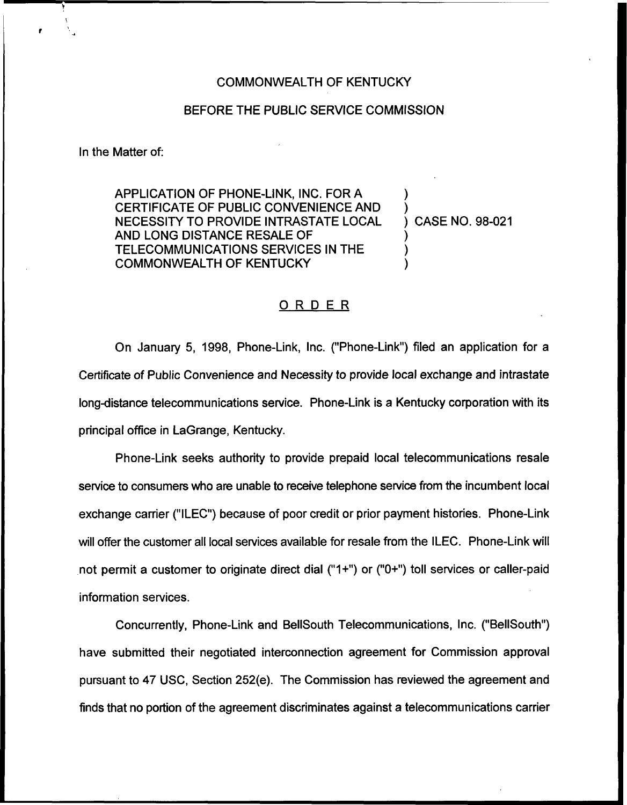## COMMONWEALTH OF KENTUCKY

## BEFORE THE PUBLIC SERVICE COMMISSION

In the Matter of:

APPLICATION OF PHONE-LINK, INC. FOR A CERTIFICATE OF PUBLIC CONVENIENCE AND NECESSITY TO PROVIDE INTRASTATE LOCAL AND LONG DISTANCE RESALE OF TELECOMMUNICATIONS SERVICES IN THE COMMONWEALTH OF KENTUCKY

) CASE NO. 98-021

) )

) ) )

## ORDER

On January 5, 1998, Phone-Link, Inc. ("Phone-Link") filed an application for a Certificate of Public Convenience and Necessity to provide local exchange and intrastate long-distance telecommunications service. Phone-Link is a Kentucky corporation with its principal office in LaGrange, Kentucky.

Phone-Link seeks authority to provide prepaid local telecommunications resale service to consumers who are unable to receive telephone service from the incumbent local exchange carrier ("ILEC") because of poor credit or prior payment histories. Phone-Link will offer the customer all local services available for resale from the ILEC. Phone-Link will not permit a customer to originate direct dial ("1+") or ("0+") toll services or caller-paid information services.

Concurrently, Phone-Link and BellSouth Telecommunications, Inc. ("BelISouth") have submitted their negotiated interconnection agreement for Commission approval pursuant to 47 USC, Section 252(e). The Commission has reviewed the agreement and finds that no portion of the agreement discriminates against a telecommunications carrier